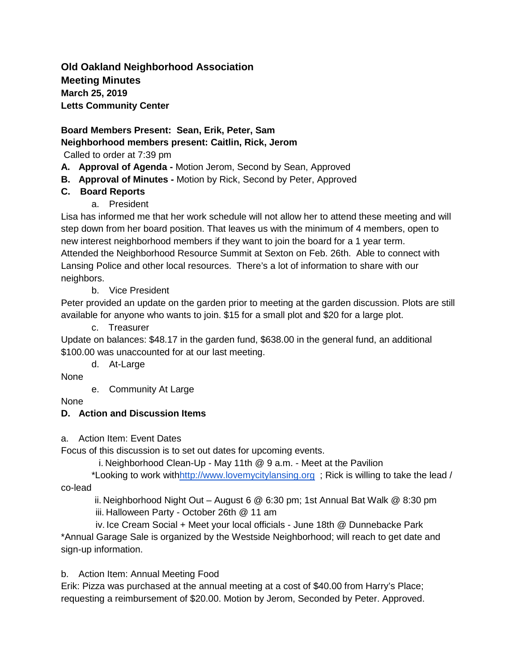**Old Oakland Neighborhood Association Meeting Minutes March 25, 2019 Letts Community Center** 

**Board Members Present: Sean, Erik, Peter, Sam Neighborhood members present: Caitlin, Rick, Jerom** 

Called to order at 7:39 pm

- **A. Approval of Agenda -** Motion Jerom, Second by Sean, Approved
- **B. Approval of Minutes -** Motion by Rick, Second by Peter, Approved

# **C. Board Reports**

a. President

Lisa has informed me that her work schedule will not allow her to attend these meeting and will step down from her board position. That leaves us with the minimum of 4 members, open to new interest neighborhood members if they want to join the board for a 1 year term. Attended the Neighborhood Resource Summit at Sexton on Feb. 26th. Able to connect with Lansing Police and other local resources. There's a lot of information to share with our neighbors.

b. Vice President

Peter provided an update on the garden prior to meeting at the garden discussion. Plots are still available for anyone who wants to join. \$15 for a small plot and \$20 for a large plot.

c. Treasurer

Update on balances: \$48.17 in the garden fund, \$638.00 in the general fund, an additional \$100.00 was unaccounted for at our last meeting.

d. At-Large

None

e. Community At Large

None

### **D. Action and Discussion Items**

a. Action Item: Event Dates

Focus of this discussion is to set out dates for upcoming events.

i. Neighborhood Clean-Up - May 11th @ 9 a.m. - Meet at the Pavilion

\*Looking to work wit[hhttp://www.lovemycitylansing.org](http://www.lovemycitylansing.org/) ; Rick is willing to take the lead / co-lead

 ii. Neighborhood Night Out – August 6 @ 6:30 pm; 1st Annual Bat Walk @ 8:30 pm iii. Halloween Party - October 26th @ 11 am

 iv. Ice Cream Social + Meet your local officials - June 18th @ Dunnebacke Park \*Annual Garage Sale is organized by the Westside Neighborhood; will reach to get date and sign-up information.

b. Action Item: Annual Meeting Food

Erik: Pizza was purchased at the annual meeting at a cost of \$40.00 from Harry's Place; requesting a reimbursement of \$20.00. Motion by Jerom, Seconded by Peter. Approved.